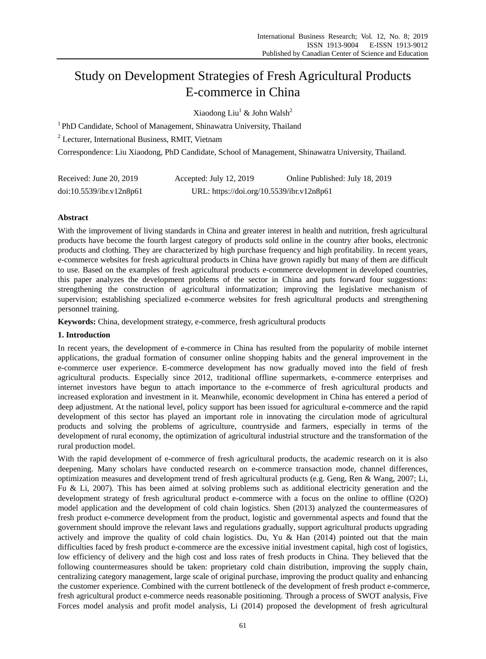# Study on Development Strategies of Fresh Agricultural Products E-commerce in China

Xiaodong Liu<sup>1</sup> & John Walsh<sup>2</sup>

<sup>1</sup> PhD Candidate, School of Management, Shinawatra University, Thailand

<sup>2</sup> Lecturer, International Business, RMIT, Vietnam

Correspondence: Liu Xiaodong, PhD Candidate, School of Management, Shinawatra University, Thailand.

| Received: June 20, 2019  | Accepted: July 12, 2019                   | Online Published: July 18, 2019 |
|--------------------------|-------------------------------------------|---------------------------------|
| doi:10.5539/ibr.v12n8p61 | URL: https://doi.org/10.5539/ibr.v12n8p61 |                                 |

# **Abstract**

With the improvement of living standards in China and greater interest in health and nutrition, fresh agricultural products have become the fourth largest category of products sold online in the country after books, electronic products and clothing. They are characterized by high purchase frequency and high profitability. In recent years, e-commerce websites for fresh agricultural products in China have grown rapidly but many of them are difficult to use. Based on the examples of fresh agricultural products e-commerce development in developed countries, this paper analyzes the development problems of the sector in China and puts forward four suggestions: strengthening the construction of agricultural informatization; improving the legislative mechanism of supervision; establishing specialized e-commerce websites for fresh agricultural products and strengthening personnel training.

**Keywords:** China, development strategy, e-commerce, fresh agricultural products

# **1. Introduction**

In recent years, the development of e-commerce in China has resulted from the popularity of mobile internet applications, the gradual formation of consumer online shopping habits and the general improvement in the e-commerce user experience. E-commerce development has now gradually moved into the field of fresh agricultural products. Especially since 2012, traditional offline supermarkets, e-commerce enterprises and internet investors have begun to attach importance to the e-commerce of fresh agricultural products and increased exploration and investment in it. Meanwhile, economic development in China has entered a period of deep adjustment. At the national level, policy support has been issued for agricultural e-commerce and the rapid development of this sector has played an important role in innovating the circulation mode of agricultural products and solving the problems of agriculture, countryside and farmers, especially in terms of the development of rural economy, the optimization of agricultural industrial structure and the transformation of the rural production model.

With the rapid development of e-commerce of fresh agricultural products, the academic research on it is also deepening. Many scholars have conducted research on e-commerce transaction mode, channel differences, optimization measures and development trend of fresh agricultural products (e.g. Geng, Ren & Wang, 2007; Li, Fu & Li, 2007). This has been aimed at solving problems such as additional electricity generation and the development strategy of fresh agricultural product e-commerce with a focus on the online to offline (O2O) model application and the development of cold chain logistics. Shen (2013) analyzed the countermeasures of fresh product e-commerce development from the product, logistic and governmental aspects and found that the government should improve the relevant laws and regulations gradually, support agricultural products upgrading actively and improve the quality of cold chain logistics. Du, Yu & Han (2014) pointed out that the main difficulties faced by fresh product e-commerce are the excessive initial investment capital, high cost of logistics, low efficiency of delivery and the high cost and loss rates of fresh products in China. They believed that the following countermeasures should be taken: proprietary cold chain distribution, improving the supply chain, centralizing category management, large scale of original purchase, improving the product quality and enhancing the customer experience. Combined with the current bottleneck of the development of fresh product e-commerce, fresh agricultural product e-commerce needs reasonable positioning. Through a process of SWOT analysis, Five Forces model analysis and profit model analysis, Li (2014) proposed the development of fresh agricultural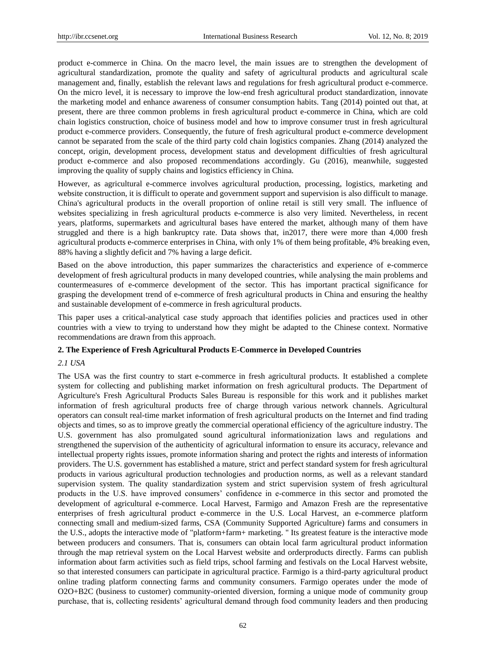product e-commerce in China. On the macro level, the main issues are to strengthen the development of agricultural standardization, promote the quality and safety of agricultural products and agricultural scale management and, finally, establish the relevant laws and regulations for fresh agricultural product e-commerce. On the micro level, it is necessary to improve the low-end fresh agricultural product standardization, innovate the marketing model and enhance awareness of consumer consumption habits. Tang (2014) pointed out that, at present, there are three common problems in fresh agricultural product e-commerce in China, which are cold chain logistics construction, choice of business model and how to improve consumer trust in fresh agricultural product e-commerce providers. Consequently, the future of fresh agricultural product e-commerce development cannot be separated from the scale of the third party cold chain logistics companies. Zhang (2014) analyzed the concept, origin, development process, development status and development difficulties of fresh agricultural product e-commerce and also proposed recommendations accordingly. Gu (2016), meanwhile, suggested improving the quality of supply chains and logistics efficiency in China.

However, as agricultural e-commerce involves agricultural production, processing, logistics, marketing and website construction, it is difficult to operate and government support and supervision is also difficult to manage. China's agricultural products in the overall proportion of online retail is still very small. The influence of websites specializing in fresh agricultural products e-commerce is also very limited. Nevertheless, in recent years, platforms, supermarkets and agricultural bases have entered the market, although many of them have struggled and there is a high bankruptcy rate. Data shows that, in2017, there were more than 4,000 fresh agricultural products e-commerce enterprises in China, with only 1% of them being profitable, 4% breaking even, 88% having a slightly deficit and 7% having a large deficit.

Based on the above introduction, this paper summarizes the characteristics and experience of e-commerce development of fresh agricultural products in many developed countries, while analysing the main problems and countermeasures of e-commerce development of the sector. This has important practical significance for grasping the development trend of e-commerce of fresh agricultural products in China and ensuring the healthy and sustainable development of e-commerce in fresh agricultural products.

This paper uses a critical-analytical case study approach that identifies policies and practices used in other countries with a view to trying to understand how they might be adapted to the Chinese context. Normative recommendations are drawn from this approach.

# **2. The Experience of Fresh Agricultural Products E-Commerce in Developed Countries**

#### *2.1 USA*

The USA was the first country to start e-commerce in fresh agricultural products. It established a complete system for collecting and publishing market information on fresh agricultural products. The Department of Agriculture's Fresh Agricultural Products Sales Bureau is responsible for this work and it publishes market information of fresh agricultural products free of charge through various network channels. Agricultural operators can consult real-time market information of fresh agricultural products on the Internet and find trading objects and times, so as to improve greatly the commercial operational efficiency of the agriculture industry. The U.S. government has also promulgated sound agricultural informationization laws and regulations and strengthened the supervision of the authenticity of agricultural information to ensure its accuracy, relevance and intellectual property rights issues, promote information sharing and protect the rights and interests of information providers. The U.S. government has established a mature, strict and perfect standard system for fresh agricultural products in various agricultural production technologies and production norms, as well as a relevant standard supervision system. The quality standardization system and strict supervision system of fresh agricultural products in the U.S. have improved consumers' confidence in e-commerce in this sector and promoted the development of agricultural e-commerce. Local Harvest, Farmigo and Amazon Fresh are the representative enterprises of fresh agricultural product e-commerce in the U.S. Local Harvest, an e-commerce platform connecting small and medium-sized farms, CSA (Community Supported Agriculture) farms and consumers in the U.S., adopts the interactive mode of "platform+farm+ marketing. " Its greatest feature is the interactive mode between producers and consumers. That is, consumers can obtain local farm agricultural product information through the map retrieval system on the Local Harvest website and orderproducts directly. Farms can publish information about farm activities such as field trips, school farming and festivals on the Local Harvest website, so that interested consumers can participate in agricultural practice. Farmigo is a third-party agricultural product online trading platform connecting farms and community consumers. Farmigo operates under the mode of O2O+B2C (business to customer) community-oriented diversion, forming a unique mode of community group purchase, that is, collecting residents' agricultural demand through food community leaders and then producing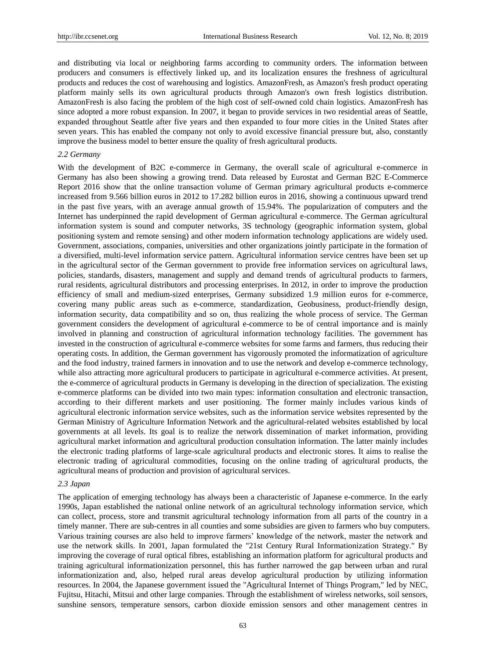and distributing via local or neighboring farms according to community orders. The information between producers and consumers is effectively linked up, and its localization ensures the freshness of agricultural products and reduces the cost of warehousing and logistics. AmazonFresh, as Amazon's fresh product operating platform mainly sells its own agricultural products through Amazon's own fresh logistics distribution. AmazonFresh is also facing the problem of the high cost of self-owned cold chain logistics. AmazonFresh has since adopted a more robust expansion. In 2007, it began to provide services in two residential areas of Seattle, expanded throughout Seattle after five years and then expanded to four more cities in the United States after seven years. This has enabled the company not only to avoid excessive financial pressure but, also, constantly improve the business model to better ensure the quality of fresh agricultural products.

#### *2.2 Germany*

With the development of B2C e-commerce in Germany, the overall scale of agricultural e-commerce in Germany has also been showing a growing trend. Data released by Eurostat and German B2C E-Commerce Report 2016 show that the online transaction volume of German primary agricultural products e-commerce increased from 9.566 billion euros in 2012 to 17.282 billion euros in 2016, showing a continuous upward trend in the past five years, with an average annual growth of 15.94%. The popularization of computers and the Internet has underpinned the rapid development of German agricultural e-commerce. The German agricultural information system is sound and computer networks, 3S technology (geographic information system, global positioning system and remote sensing) and other modern information technology applications are widely used. Government, associations, companies, universities and other organizations jointly participate in the formation of a diversified, multi-level information service pattern. Agricultural information service centres have been set up in the agricultural sector of the German government to provide free information services on agricultural laws, policies, standards, disasters, management and supply and demand trends of agricultural products to farmers, rural residents, agricultural distributors and processing enterprises. In 2012, in order to improve the production efficiency of small and medium-sized enterprises, Germany subsidized 1.9 million euros for e-commerce, covering many public areas such as e-commerce, standardization, Geobusiness, product-friendly design, information security, data compatibility and so on, thus realizing the whole process of service. The German government considers the development of agricultural e-commerce to be of central importance and is mainly involved in planning and construction of agricultural information technology facilities. The government has invested in the construction of agricultural e-commerce websites for some farms and farmers, thus reducing their operating costs. In addition, the German government has vigorously promoted the informatization of agriculture and the food industry, trained farmers in innovation and to use the network and develop e-commerce technology, while also attracting more agricultural producers to participate in agricultural e-commerce activities. At present, the e-commerce of agricultural products in Germany is developing in the direction of specialization. The existing e-commerce platforms can be divided into two main types: information consultation and electronic transaction, according to their different markets and user positioning. The former mainly includes various kinds of agricultural electronic information service websites, such as the information service websites represented by the German Ministry of Agriculture Information Network and the agricultural-related websites established by local governments at all levels. Its goal is to realize the network dissemination of market information, providing agricultural market information and agricultural production consultation information. The latter mainly includes the electronic trading platforms of large-scale agricultural products and electronic stores. It aims to realise the electronic trading of agricultural commodities, focusing on the online trading of agricultural products, the agricultural means of production and provision of agricultural services.

## *2.3 Japan*

The application of emerging technology has always been a characteristic of Japanese e-commerce. In the early 1990s, Japan established the national online network of an agricultural technology information service, which can collect, process, store and transmit agricultural technology information from all parts of the country in a timely manner. There are sub-centres in all counties and some subsidies are given to farmers who buy computers. Various training courses are also held to improve farmers' knowledge of the network, master the network and use the network skills. In 2001, Japan formulated the "21st Century Rural Informationization Strategy." By improving the coverage of rural optical fibres, establishing an information platform for agricultural products and training agricultural informationization personnel, this has further narrowed the gap between urban and rural informationization and, also, helped rural areas develop agricultural production by utilizing information resources. In 2004, the Japanese government issued the "Agricultural Internet of Things Program," led by NEC, Fujitsu, Hitachi, Mitsui and other large companies. Through the establishment of wireless networks, soil sensors, sunshine sensors, temperature sensors, carbon dioxide emission sensors and other management centres in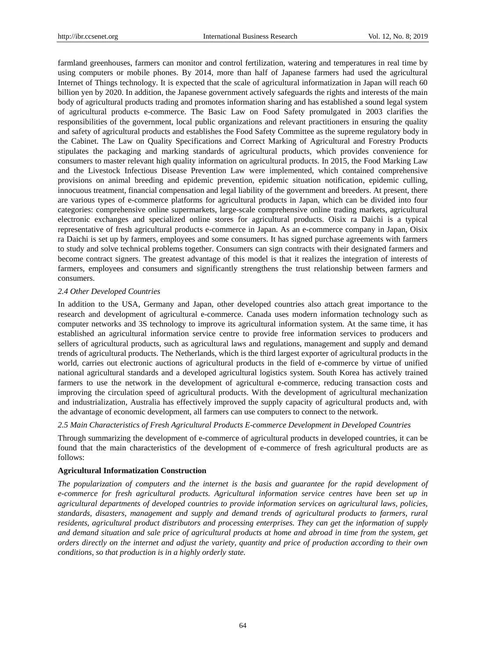farmland greenhouses, farmers can monitor and control fertilization, watering and temperatures in real time by using computers or mobile phones. By 2014, more than half of Japanese farmers had used the agricultural Internet of Things technology. It is expected that the scale of agricultural informatization in Japan will reach 60 billion yen by 2020. In addition, the Japanese government actively safeguards the rights and interests of the main body of agricultural products trading and promotes information sharing and has established a sound legal system of agricultural products e-commerce. The Basic Law on Food Safety promulgated in 2003 clarifies the responsibilities of the government, local public organizations and relevant practitioners in ensuring the quality and safety of agricultural products and establishes the Food Safety Committee as the supreme regulatory body in the Cabinet. The Law on Quality Specifications and Correct Marking of Agricultural and Forestry Products stipulates the packaging and marking standards of agricultural products, which provides convenience for consumers to master relevant high quality information on agricultural products. In 2015, the Food Marking Law and the Livestock Infectious Disease Prevention Law were implemented, which contained comprehensive provisions on animal breeding and epidemic prevention, epidemic situation notification, epidemic culling, innocuous treatment, financial compensation and legal liability of the government and breeders. At present, there are various types of e-commerce platforms for agricultural products in Japan, which can be divided into four categories: comprehensive online supermarkets, large-scale comprehensive online trading markets, agricultural electronic exchanges and specialized online stores for agricultural products. Oisix ra Daichi is a typical representative of fresh agricultural products e-commerce in Japan. As an e-commerce company in Japan, Oisix ra Daichi is set up by farmers, employees and some consumers. It has signed purchase agreements with farmers to study and solve technical problems together. Consumers can sign contracts with their designated farmers and become contract signers. The greatest advantage of this model is that it realizes the integration of interests of farmers, employees and consumers and significantly strengthens the trust relationship between farmers and consumers.

## *2.4 Other Developed Countries*

In addition to the USA, Germany and Japan, other developed countries also attach great importance to the research and development of agricultural e-commerce. Canada uses modern information technology such as computer networks and 3S technology to improve its agricultural information system. At the same time, it has established an agricultural information service centre to provide free information services to producers and sellers of agricultural products, such as agricultural laws and regulations, management and supply and demand trends of agricultural products. The Netherlands, which is the third largest exporter of agricultural products in the world, carries out electronic auctions of agricultural products in the field of e-commerce by virtue of unified national agricultural standards and a developed agricultural logistics system. South Korea has actively trained farmers to use the network in the development of agricultural e-commerce, reducing transaction costs and improving the circulation speed of agricultural products. With the development of agricultural mechanization and industrialization, Australia has effectively improved the supply capacity of agricultural products and, with the advantage of economic development, all farmers can use computers to connect to the network.

## *2.5 Main Characteristics of Fresh Agricultural Products E-commerce Development in Developed Countries*

Through summarizing the development of e-commerce of agricultural products in developed countries, it can be found that the main characteristics of the development of e-commerce of fresh agricultural products are as follows:

#### **Agricultural Informatization Construction**

*The popularization of computers and the internet is the basis and guarantee for the rapid development of e-commerce for fresh agricultural products. Agricultural information service centres have been set up in agricultural departments of developed countries to provide information services on agricultural laws, policies, standards, disasters, management and supply and demand trends of agricultural products to farmers, rural residents, agricultural product distributors and processing enterprises. They can get the information of supply and demand situation and sale price of agricultural products at home and abroad in time from the system, get orders directly on the internet and adjust the variety, quantity and price of production according to their own conditions, so that production is in a highly orderly state.*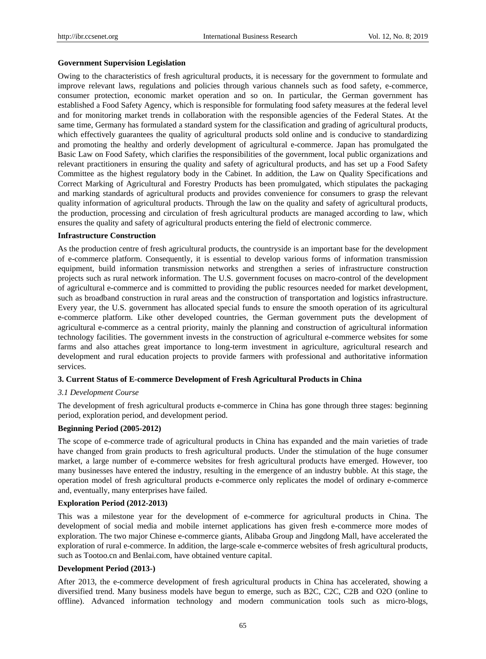#### **Government Supervision Legislation**

Owing to the characteristics of fresh agricultural products, it is necessary for the government to formulate and improve relevant laws, regulations and policies through various channels such as food safety, e-commerce, consumer protection, economic market operation and so on. In particular, the German government has established a Food Safety Agency, which is responsible for formulating food safety measures at the federal level and for monitoring market trends in collaboration with the responsible agencies of the Federal States. At the same time, Germany has formulated a standard system for the classification and grading of agricultural products, which effectively guarantees the quality of agricultural products sold online and is conducive to standardizing and promoting the healthy and orderly development of agricultural e-commerce. Japan has promulgated the Basic Law on Food Safety, which clarifies the responsibilities of the government, local public organizations and relevant practitioners in ensuring the quality and safety of agricultural products, and has set up a Food Safety Committee as the highest regulatory body in the Cabinet. In addition, the Law on Quality Specifications and Correct Marking of Agricultural and Forestry Products has been promulgated, which stipulates the packaging and marking standards of agricultural products and provides convenience for consumers to grasp the relevant quality information of agricultural products. Through the law on the quality and safety of agricultural products, the production, processing and circulation of fresh agricultural products are managed according to law, which ensures the quality and safety of agricultural products entering the field of electronic commerce.

## **Infrastructure Construction**

As the production centre of fresh agricultural products, the countryside is an important base for the development of e-commerce platform. Consequently, it is essential to develop various forms of information transmission equipment, build information transmission networks and strengthen a series of infrastructure construction projects such as rural network information. The U.S. government focuses on macro-control of the development of agricultural e-commerce and is committed to providing the public resources needed for market development, such as broadband construction in rural areas and the construction of transportation and logistics infrastructure. Every year, the U.S. government has allocated special funds to ensure the smooth operation of its agricultural e-commerce platform. Like other developed countries, the German government puts the development of agricultural e-commerce as a central priority, mainly the planning and construction of agricultural information technology facilities. The government invests in the construction of agricultural e-commerce websites for some farms and also attaches great importance to long-term investment in agriculture, agricultural research and development and rural education projects to provide farmers with professional and authoritative information services.

## **3. Current Status of E-commerce Development of Fresh Agricultural Products in China**

## *3.1 Development Course*

The development of fresh agricultural products e-commerce in China has gone through three stages: beginning period, exploration period, and development period.

#### **Beginning Period (2005-2012)**

The scope of e-commerce trade of agricultural products in China has expanded and the main varieties of trade have changed from grain products to fresh agricultural products. Under the stimulation of the huge consumer market, a large number of e-commerce websites for fresh agricultural products have emerged. However, too many businesses have entered the industry, resulting in the emergence of an industry bubble. At this stage, the operation model of fresh agricultural products e-commerce only replicates the model of ordinary e-commerce and, eventually, many enterprises have failed.

#### **Exploration Period (2012-2013)**

This was a milestone year for the development of e-commerce for agricultural products in China. The development of social media and mobile internet applications has given fresh e-commerce more modes of exploration. The two major Chinese e-commerce giants, Alibaba Group and Jingdong Mall, have accelerated the exploration of rural e-commerce. In addition, the large-scale e-commerce websites of fresh agricultural products, such as Tootoo.cn and Benlai.com, have obtained venture capital.

## **Development Period (2013-)**

After 2013, the e-commerce development of fresh agricultural products in China has accelerated, showing a diversified trend. Many business models have begun to emerge, such as B2C, C2C, C2B and O2O (online to offline). Advanced information technology and modern communication tools such as micro-blogs,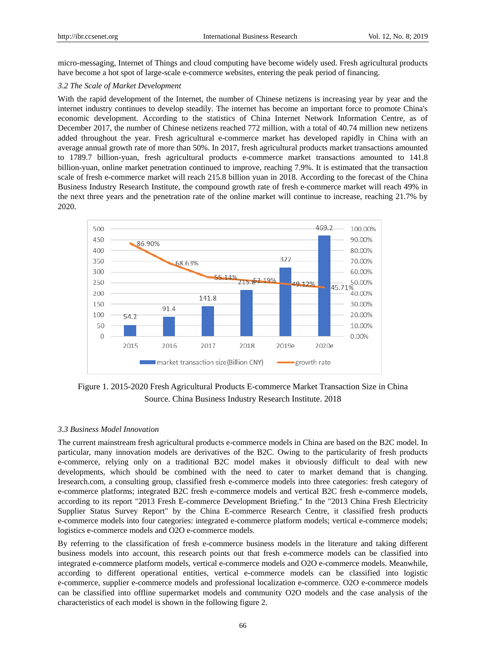micro-messaging, Internet of Things and cloud computing have become widely used. Fresh agricultural products have become a hot spot of large-scale e-commerce websites, entering the peak period of financing.

## *3.2 The Scale of Market Development*

With the rapid development of the Internet, the number of Chinese netizens is increasing year by year and the internet industry continues to develop steadily. The internet has become an important force to promote China's economic development. According to the statistics of China Internet Network Information Centre, as of December 2017, the number of Chinese netizens reached 772 million, with a total of 40.74 million new netizens added throughout the year. Fresh agricultural e-commerce market has developed rapidly in China with an average annual growth rate of more than 50%. In 2017, fresh agricultural products market transactions amounted to 1789.7 billion-yuan, fresh agricultural products e-commerce market transactions amounted to 141.8 billion-yuan, online market penetration continued to improve, reaching 7.9%. It is estimated that the transaction scale of fresh e-commerce market will reach 215.8 billion yuan in 2018. According to the forecast of the China Business Industry Research Institute, the compound growth rate of fresh e-commerce market will reach 49% in the next three years and the penetration rate of the online market will continue to increase, reaching 21.7% by 2020.



Figure 1. 2015-2020 Fresh Agricultural Products E-commerce Market Transaction Size in China Source. China Business Industry Research Institute. 2018

## *3.3 Business Model Innovation*

The current mainstream fresh agricultural products e-commerce models in China are based on the B2C model. In particular, many innovation models are derivatives of the B2C. Owing to the particularity of fresh products e-commerce, relying only on a traditional B2C model makes it obviously difficult to deal with new developments, which should be combined with the need to cater to market demand that is changing. Iresearch.com, a consulting group, classified fresh e-commerce models into three categories: fresh category of e-commerce platforms; integrated B2C fresh e-commerce models and vertical B2C fresh e-commerce models, according to its report "2013 Fresh E-commerce Development Briefing." In the "2013 China Fresh Electricity Supplier Status Survey Report" by the China E-commerce Research Centre, it classified fresh products e-commerce models into four categories: integrated e-commerce platform models; vertical e-commerce models; logistics e-commerce models and O2O e-commerce models.

By referring to the classification of fresh e-commerce business models in the literature and taking different business models into account, this research points out that fresh e-commerce models can be classified into integrated e-commerce platform models, vertical e-commerce models and O2O e-commerce models. Meanwhile, according to different operational entities, vertical e-commerce models can be classified into logistic e-commerce, supplier e-commerce models and professional localization e-commerce. O2O e-commerce models can be classified into offline supermarket models and community O2O models and the case analysis of the characteristics of each model is shown in the following figure 2.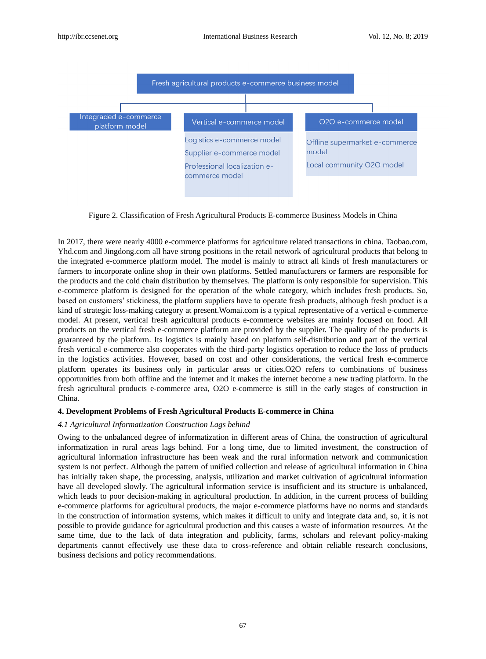

Figure 2. Classification of Fresh Agricultural Products E-commerce Business Models in China

In 2017, there were nearly 4000 e-commerce platforms for agriculture related transactions in china. Taobao.com, Yhd.com and Jingdong.com all have strong positions in the retail network of agricultural products that belong to the integrated e-commerce platform model. The model is mainly to attract all kinds of fresh manufacturers or farmers to incorporate online shop in their own platforms. Settled manufacturers or farmers are responsible for the products and the cold chain distribution by themselves. The platform is only responsible for supervision. This e-commerce platform is designed for the operation of the whole category, which includes fresh products. So, based on customers' stickiness, the platform suppliers have to operate fresh products, although fresh product is a kind of strategic loss-making category at present.Womai.com is a typical representative of a vertical e-commerce model. At present, vertical fresh agricultural products e-commerce websites are mainly focused on food. All products on the vertical fresh e-commerce platform are provided by the supplier. The quality of the products is guaranteed by the platform. Its logistics is mainly based on platform self-distribution and part of the vertical fresh vertical e-commerce also cooperates with the third-party logistics operation to reduce the loss of products in the logistics activities. However, based on cost and other considerations, the vertical fresh e-commerce platform operates its business only in particular areas or cities.O2O refers to combinations of business opportunities from both offline and the internet and it makes the internet become a new trading platform. In the fresh agricultural products e-commerce area, O2O e-commerce is still in the early stages of construction in China.

## **4. Development Problems of Fresh Agricultural Products E-commerce in China**

# *4.1 Agricultural Informatization Construction Lags behind*

Owing to the unbalanced degree of informatization in different areas of China, the construction of agricultural informatization in rural areas lags behind. For a long time, due to limited investment, the construction of agricultural information infrastructure has been weak and the rural information network and communication system is not perfect. Although the pattern of unified collection and release of agricultural information in China has initially taken shape, the processing, analysis, utilization and market cultivation of agricultural information have all developed slowly. The agricultural information service is insufficient and its structure is unbalanced, which leads to poor decision-making in agricultural production. In addition, in the current process of building e-commerce platforms for agricultural products, the major e-commerce platforms have no norms and standards in the construction of information systems, which makes it difficult to unify and integrate data and, so, it is not possible to provide guidance for agricultural production and this causes a waste of information resources. At the same time, due to the lack of data integration and publicity, farms, scholars and relevant policy-making departments cannot effectively use these data to cross-reference and obtain reliable research conclusions, business decisions and policy recommendations.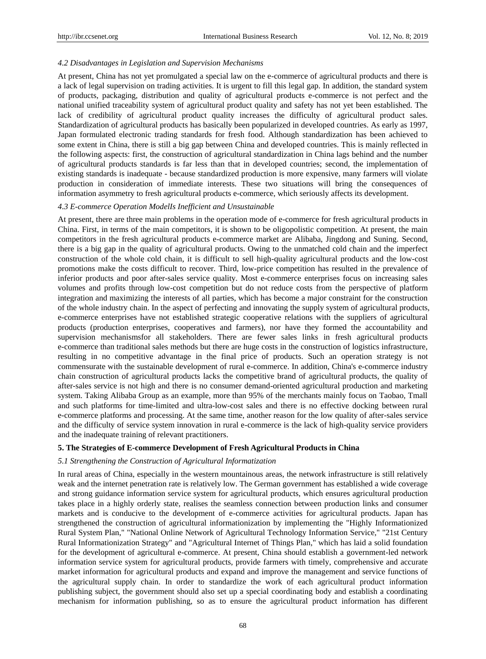#### *4.2 Disadvantages in Legislation and Supervision Mechanisms*

At present, China has not yet promulgated a special law on the e-commerce of agricultural products and there is a lack of legal supervision on trading activities. It is urgent to fill this legal gap. In addition, the standard system of products, packaging, distribution and quality of agricultural products e-commerce is not perfect and the national unified traceability system of agricultural product quality and safety has not yet been established. The lack of credibility of agricultural product quality increases the difficulty of agricultural product sales. Standardization of agricultural products has basically been popularized in developed countries. As early as 1997, Japan formulated electronic trading standards for fresh food. Although standardization has been achieved to some extent in China, there is still a big gap between China and developed countries. This is mainly reflected in the following aspects: first, the construction of agricultural standardization in China lags behind and the number of agricultural products standards is far less than that in developed countries; second, the implementation of existing standards is inadequate - because standardized production is more expensive, many farmers will violate production in consideration of immediate interests. These two situations will bring the consequences of information asymmetry to fresh agricultural products e-commerce, which seriously affects its development.

## *4.3 E-commerce Operation ModelIs Inefficient and Unsustainable*

At present, there are three main problems in the operation mode of e-commerce for fresh agricultural products in China. First, in terms of the main competitors, it is shown to be oligopolistic competition. At present, the main competitors in the fresh agricultural products e-commerce market are Alibaba, Jingdong and Suning. Second, there is a big gap in the quality of agricultural products. Owing to the unmatched cold chain and the imperfect construction of the whole cold chain, it is difficult to sell high-quality agricultural products and the low-cost promotions make the costs difficult to recover. Third, low-price competition has resulted in the prevalence of inferior products and poor after-sales service quality. Most e-commerce enterprises focus on increasing sales volumes and profits through low-cost competition but do not reduce costs from the perspective of platform integration and maximizing the interests of all parties, which has become a major constraint for the construction of the whole industry chain. In the aspect of perfecting and innovating the supply system of agricultural products, e-commerce enterprises have not established strategic cooperative relations with the suppliers of agricultural products (production enterprises, cooperatives and farmers), nor have they formed the accountability and supervision mechanismsfor all stakeholders. There are fewer sales links in fresh agricultural products e-commerce than traditional sales methods but there are huge costs in the construction of logistics infrastructure, resulting in no competitive advantage in the final price of products. Such an operation strategy is not commensurate with the sustainable development of rural e-commerce. In addition, China's e-commerce industry chain construction of agricultural products lacks the competitive brand of agricultural products, the quality of after-sales service is not high and there is no consumer demand-oriented agricultural production and marketing system. Taking Alibaba Group as an example, more than 95% of the merchants mainly focus on Taobao, Tmall and such platforms for time-limited and ultra-low-cost sales and there is no effective docking between rural e-commerce platforms and processing. At the same time, another reason for the low quality of after-sales service and the difficulty of service system innovation in rural e-commerce is the lack of high-quality service providers and the inadequate training of relevant practitioners.

## **5. The Strategies of E-commerce Development of Fresh Agricultural Products in China**

#### *5.1 Strengthening the Construction of Agricultural Informatization*

In rural areas of China, especially in the western mountainous areas, the network infrastructure is still relatively weak and the internet penetration rate is relatively low. The German government has established a wide coverage and strong guidance information service system for agricultural products, which ensures agricultural production takes place in a highly orderly state, realises the seamless connection between production links and consumer markets and is conducive to the development of e-commerce activities for agricultural products. Japan has strengthened the construction of agricultural informationization by implementing the "Highly Informationized Rural System Plan," "National Online Network of Agricultural Technology Information Service," "21st Century Rural Informationization Strategy" and "Agricultural Internet of Things Plan," which has laid a solid foundation for the development of agricultural e-commerce. At present, China should establish a government-led network information service system for agricultural products, provide farmers with timely, comprehensive and accurate market information for agricultural products and expand and improve the management and service functions of the agricultural supply chain. In order to standardize the work of each agricultural product information publishing subject, the government should also set up a special coordinating body and establish a coordinating mechanism for information publishing, so as to ensure the agricultural product information has different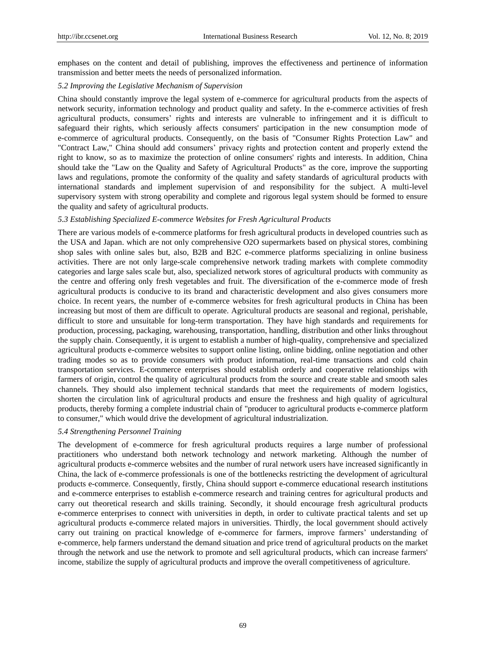emphases on the content and detail of publishing, improves the effectiveness and pertinence of information transmission and better meets the needs of personalized information.

# *5.2 Improving the Legislative Mechanism of Supervision*

China should constantly improve the legal system of e-commerce for agricultural products from the aspects of network security, information technology and product quality and safety. In the e-commerce activities of fresh agricultural products, consumers' rights and interests are vulnerable to infringement and it is difficult to safeguard their rights, which seriously affects consumers' participation in the new consumption mode of e-commerce of agricultural products. Consequently, on the basis of "Consumer Rights Protection Law" and "Contract Law," China should add consumers' privacy rights and protection content and properly extend the right to know, so as to maximize the protection of online consumers' rights and interests. In addition, China should take the "Law on the Quality and Safety of Agricultural Products" as the core, improve the supporting laws and regulations, promote the conformity of the quality and safety standards of agricultural products with international standards and implement supervision of and responsibility for the subject. A multi-level supervisory system with strong operability and complete and rigorous legal system should be formed to ensure the quality and safety of agricultural products.

# *5.3 Establishing Specialized E-commerce Websites for Fresh Agricultural Products*

There are various models of e-commerce platforms for fresh agricultural products in developed countries such as the USA and Japan. which are not only comprehensive O2O supermarkets based on physical stores, combining shop sales with online sales but, also, B2B and B2C e-commerce platforms specializing in online business activities. There are not only large-scale comprehensive network trading markets with complete commodity categories and large sales scale but, also, specialized network stores of agricultural products with community as the centre and offering only fresh vegetables and fruit. The diversification of the e-commerce mode of fresh agricultural products is conducive to its brand and characteristic development and also gives consumers more choice. In recent years, the number of e-commerce websites for fresh agricultural products in China has been increasing but most of them are difficult to operate. Agricultural products are seasonal and regional, perishable, difficult to store and unsuitable for long-term transportation. They have high standards and requirements for production, processing, packaging, warehousing, transportation, handling, distribution and other links throughout the supply chain. Consequently, it is urgent to establish a number of high-quality, comprehensive and specialized agricultural products e-commerce websites to support online listing, online bidding, online negotiation and other trading modes so as to provide consumers with product information, real-time transactions and cold chain transportation services. E-commerce enterprises should establish orderly and cooperative relationships with farmers of origin, control the quality of agricultural products from the source and create stable and smooth sales channels. They should also implement technical standards that meet the requirements of modern logistics, shorten the circulation link of agricultural products and ensure the freshness and high quality of agricultural products, thereby forming a complete industrial chain of "producer to agricultural products e-commerce platform to consumer," which would drive the development of agricultural industrialization.

#### *5.4 Strengthening Personnel Training*

The development of e-commerce for fresh agricultural products requires a large number of professional practitioners who understand both network technology and network marketing. Although the number of agricultural products e-commerce websites and the number of rural network users have increased significantly in China, the lack of e-commerce professionals is one of the bottlenecks restricting the development of agricultural products e-commerce. Consequently, firstly, China should support e-commerce educational research institutions and e-commerce enterprises to establish e-commerce research and training centres for agricultural products and carry out theoretical research and skills training. Secondly, it should encourage fresh agricultural products e-commerce enterprises to connect with universities in depth, in order to cultivate practical talents and set up agricultural products e-commerce related majors in universities. Thirdly, the local government should actively carry out training on practical knowledge of e-commerce for farmers, improve farmers' understanding of e-commerce, help farmers understand the demand situation and price trend of agricultural products on the market through the network and use the network to promote and sell agricultural products, which can increase farmers' income, stabilize the supply of agricultural products and improve the overall competitiveness of agriculture.